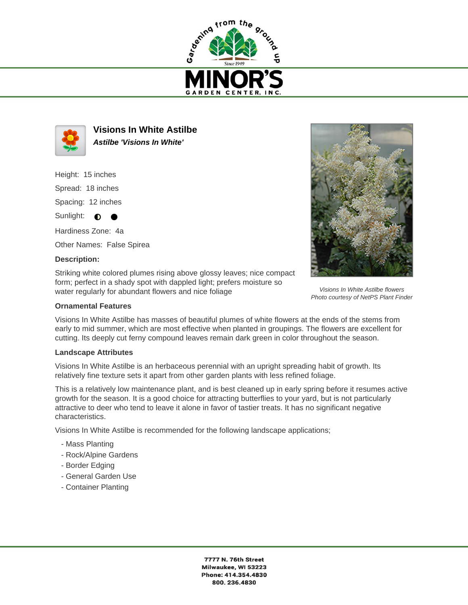



**Visions In White Astilbe Astilbe 'Visions In White'**

Height: 15 inches Spread: 18 inches Spacing: 12 inches Sunlight:  $\bullet$ 

Hardiness Zone: 4a Other Names: False Spirea

## **Description:**

Striking white colored plumes rising above glossy leaves; nice compact form; perfect in a shady spot with dappled light; prefers moisture so water regularly for abundant flowers and nice foliage

## **Ornamental Features**

Visions In White Astilbe has masses of beautiful plumes of white flowers at the ends of the stems from early to mid summer, which are most effective when planted in groupings. The flowers are excellent for cutting. Its deeply cut ferny compound leaves remain dark green in color throughout the season.

## **Landscape Attributes**

Visions In White Astilbe is an herbaceous perennial with an upright spreading habit of growth. Its relatively fine texture sets it apart from other garden plants with less refined foliage.

This is a relatively low maintenance plant, and is best cleaned up in early spring before it resumes active growth for the season. It is a good choice for attracting butterflies to your yard, but is not particularly attractive to deer who tend to leave it alone in favor of tastier treats. It has no significant negative characteristics.

Visions In White Astilbe is recommended for the following landscape applications;

- Mass Planting
- Rock/Alpine Gardens
- Border Edging
- General Garden Use
- Container Planting



Visions In White Astilbe flowers Photo courtesy of NetPS Plant Finder

7777 N. 76th Street Milwaukee, WI 53223 Phone: 414.354.4830 800.236.4830